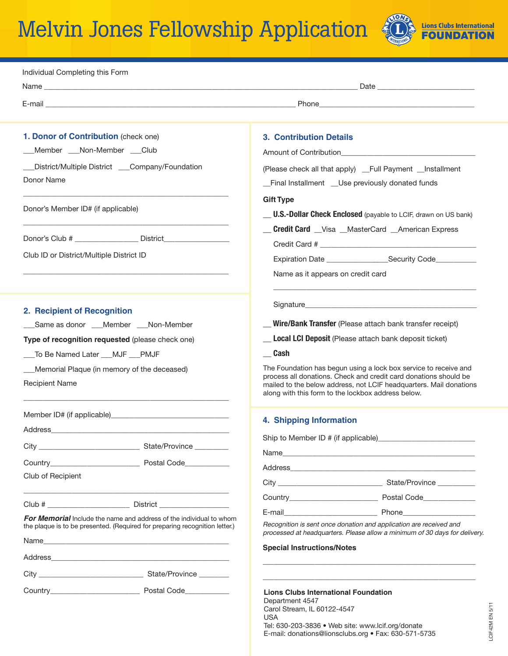# Melvin Jones Fellowship Application



| Individual Completing this Form                                                                                                                                                                                                      |                                                                                                                                                                                                                                                                  |
|--------------------------------------------------------------------------------------------------------------------------------------------------------------------------------------------------------------------------------------|------------------------------------------------------------------------------------------------------------------------------------------------------------------------------------------------------------------------------------------------------------------|
|                                                                                                                                                                                                                                      |                                                                                                                                                                                                                                                                  |
|                                                                                                                                                                                                                                      |                                                                                                                                                                                                                                                                  |
| 1. Donor of Contribution (check one)                                                                                                                                                                                                 | <b>3. Contribution Details</b>                                                                                                                                                                                                                                   |
| __Member __Non-Member __Club                                                                                                                                                                                                         |                                                                                                                                                                                                                                                                  |
| __District/Multiple District ___Company/Foundation<br>Donor Name                                                                                                                                                                     | (Please check all that apply) _Full Payment _Installment<br>_Final Installment _Use previously donated funds                                                                                                                                                     |
| Donor's Member ID# (if applicable)                                                                                                                                                                                                   | <b>Gift Type</b><br><b>U.S.-Dollar Check Enclosed</b> (payable to LCIF, drawn on US bank)                                                                                                                                                                        |
|                                                                                                                                                                                                                                      | <b>Credit Card</b> Visa MasterCard American Express                                                                                                                                                                                                              |
| Donor's Club # ___________________ District___________                                                                                                                                                                               |                                                                                                                                                                                                                                                                  |
| Club ID or District/Multiple District ID                                                                                                                                                                                             |                                                                                                                                                                                                                                                                  |
|                                                                                                                                                                                                                                      | Name as it appears on credit card                                                                                                                                                                                                                                |
| 2. Recipient of Recognition                                                                                                                                                                                                          |                                                                                                                                                                                                                                                                  |
| ___Same as donor ___Member ___Non-Member                                                                                                                                                                                             | Wire/Bank Transfer (Please attach bank transfer receipt)                                                                                                                                                                                                         |
| Type of recognition requested (please check one)                                                                                                                                                                                     | <b>Local LCI Deposit</b> (Please attach bank deposit ticket)                                                                                                                                                                                                     |
| ___To Be Named Later ___MJF ___PMJF                                                                                                                                                                                                  | Cash                                                                                                                                                                                                                                                             |
| Memorial Plaque (in memory of the deceased)<br><b>Recipient Name</b>                                                                                                                                                                 | The Foundation has begun using a lock box service to receive and<br>process all donations. Check and credit card donations should be<br>mailed to the below address, not LCIF headquarters. Mail donations<br>along with this form to the lockbox address below. |
|                                                                                                                                                                                                                                      |                                                                                                                                                                                                                                                                  |
| Address                                                                                                                                                                                                                              | 4. Shipping Information                                                                                                                                                                                                                                          |
|                                                                                                                                                                                                                                      |                                                                                                                                                                                                                                                                  |
| Country <b>Countries Countries Countries Countries Countries Countries Countries Countries Countries Countries Countries Countries Countries Countries Countries Countries Countries Countries Countries Countries Countries Cou</b> |                                                                                                                                                                                                                                                                  |
| Club of Recipient                                                                                                                                                                                                                    |                                                                                                                                                                                                                                                                  |
|                                                                                                                                                                                                                                      |                                                                                                                                                                                                                                                                  |
| Club # District                                                                                                                                                                                                                      |                                                                                                                                                                                                                                                                  |
| <b>For Memorial</b> Include the name and address of the individual to whom<br>the plaque is to be presented. (Required for preparing recognition letter.)                                                                            | Recognition is sent once donation and application are received and<br>processed at headquarters. Please allow a minimum of 30 days for delivery.                                                                                                                 |
|                                                                                                                                                                                                                                      | <b>Special Instructions/Notes</b>                                                                                                                                                                                                                                |
|                                                                                                                                                                                                                                      |                                                                                                                                                                                                                                                                  |
|                                                                                                                                                                                                                                      |                                                                                                                                                                                                                                                                  |
|                                                                                                                                                                                                                                      | <b>Lions Clubs International Foundation</b><br>Department 4547<br>Carol Stream, IL 60122-4547<br>USA                                                                                                                                                             |

Tel: 630-203-3836 • Web site: www.lcif.org/donate E-mail: donations@lionsclubs.org • Fax: 630-571-5735